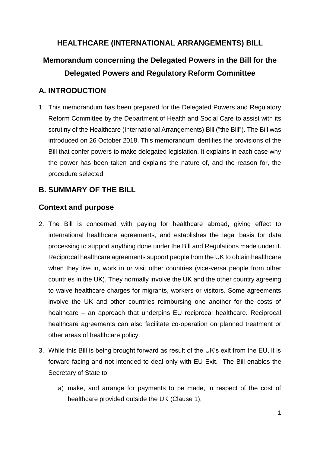## **HEALTHCARE (INTERNATIONAL ARRANGEMENTS) BILL**

# **Memorandum concerning the Delegated Powers in the Bill for the Delegated Powers and Regulatory Reform Committee**

## **A. INTRODUCTION**

1. This memorandum has been prepared for the Delegated Powers and Regulatory Reform Committee by the Department of Health and Social Care to assist with its scrutiny of the Healthcare (International Arrangements) Bill ("the Bill"). The Bill was introduced on 26 October 2018. This memorandum identifies the provisions of the Bill that confer powers to make delegated legislation. It explains in each case why the power has been taken and explains the nature of, and the reason for, the procedure selected.

## **B. SUMMARY OF THE BILL**

## **Context and purpose**

- 2. The Bill is concerned with paying for healthcare abroad, giving effect to international healthcare agreements, and establishes the legal basis for data processing to support anything done under the Bill and Regulations made under it. Reciprocal healthcare agreements support people from the UK to obtain healthcare when they live in, work in or visit other countries (vice-versa people from other countries in the UK). They normally involve the UK and the other country agreeing to waive healthcare charges for migrants, workers or visitors. Some agreements involve the UK and other countries reimbursing one another for the costs of healthcare – an approach that underpins EU reciprocal healthcare. Reciprocal healthcare agreements can also facilitate co-operation on planned treatment or other areas of healthcare policy.
- 3. While this Bill is being brought forward as result of the UK's exit from the EU, it is forward-facing and not intended to deal only with EU Exit. The Bill enables the Secretary of State to:
	- a) make, and arrange for payments to be made, in respect of the cost of healthcare provided outside the UK (Clause 1);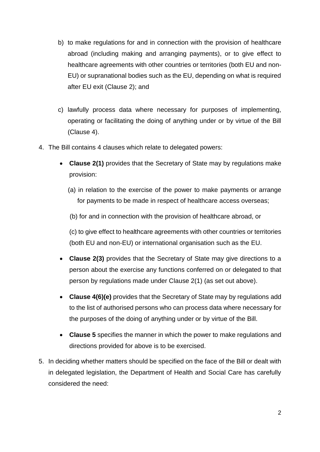- b) to make regulations for and in connection with the provision of healthcare abroad (including making and arranging payments), or to give effect to healthcare agreements with other countries or territories (both EU and non-EU) or supranational bodies such as the EU, depending on what is required after EU exit (Clause 2); and
- c) lawfully process data where necessary for purposes of implementing, operating or facilitating the doing of anything under or by virtue of the Bill (Clause 4).
- 4. The Bill contains 4 clauses which relate to delegated powers:
	- **Clause 2(1)** provides that the Secretary of State may by regulations make provision:
		- (a) in relation to the exercise of the power to make payments or arrange for payments to be made in respect of healthcare access overseas;

(b) for and in connection with the provision of healthcare abroad, or

(c) to give effect to healthcare agreements with other countries or territories (both EU and non-EU) or international organisation such as the EU.

- **Clause 2(3)** provides that the Secretary of State may give directions to a person about the exercise any functions conferred on or delegated to that person by regulations made under Clause 2(1) (as set out above).
- **Clause 4(6)(e)** provides that the Secretary of State may by regulations add to the list of authorised persons who can process data where necessary for the purposes of the doing of anything under or by virtue of the Bill.
- **Clause 5** specifies the manner in which the power to make regulations and directions provided for above is to be exercised.
- 5. In deciding whether matters should be specified on the face of the Bill or dealt with in delegated legislation, the Department of Health and Social Care has carefully considered the need: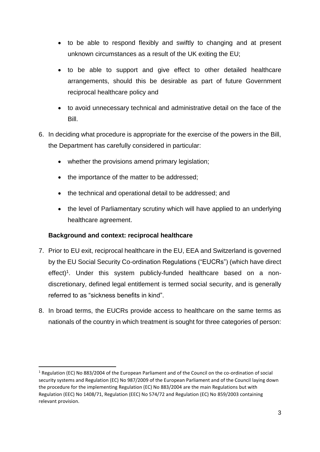- to be able to respond flexibly and swiftly to changing and at present unknown circumstances as a result of the UK exiting the EU;
- to be able to support and give effect to other detailed healthcare arrangements, should this be desirable as part of future Government reciprocal healthcare policy and
- to avoid unnecessary technical and administrative detail on the face of the Bill.
- 6. In deciding what procedure is appropriate for the exercise of the powers in the Bill, the Department has carefully considered in particular:
	- whether the provisions amend primary legislation;
	- the importance of the matter to be addressed;
	- the technical and operational detail to be addressed; and
	- the level of Parliamentary scrutiny which will have applied to an underlying healthcare agreement.

## **Background and context: reciprocal healthcare**

1

- 7. Prior to EU exit, reciprocal healthcare in the EU, EEA and Switzerland is governed by the EU Social Security Co-ordination Regulations ("EUCRs") (which have direct effect)<sup>1</sup>. Under this system publicly-funded healthcare based on a nondiscretionary, defined legal entitlement is termed social security, and is generally referred to as "sickness benefits in kind".
- 8. In broad terms, the EUCRs provide access to healthcare on the same terms as nationals of the country in which treatment is sought for three categories of person:

 $1$  Regulation (EC) No 883/2004 of the European Parliament and of the Council on the co-ordination of social security systems and Regulation (EC) No 987/2009 of the European Parliament and of the Council laying down the procedure for the implementing Regulation (EC) No 883/2004 are the main Regulations but with Regulation (EEC) No 1408/71, Regulation (EEC) No 574/72 and Regulation (EC) No 859/2003 containing relevant provision.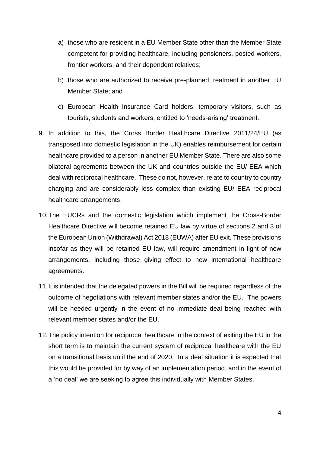- a) those who are resident in a EU Member State other than the Member State competent for providing healthcare, including pensioners, posted workers, frontier workers, and their dependent relatives;
- b) those who are authorized to receive pre-planned treatment in another EU Member State; and
- c) European Health Insurance Card holders: temporary visitors, such as tourists, students and workers, entitled to 'needs-arising' treatment.
- 9. In addition to this, the Cross Border Healthcare Directive 2011/24/EU (as transposed into domestic legislation in the UK) enables reimbursement for certain healthcare provided to a person in another EU Member State. There are also some bilateral agreements between the UK and countries outside the EU/ EEA which deal with reciprocal healthcare. These do not, however, relate to country to country charging and are considerably less complex than existing EU/ EEA reciprocal healthcare arrangements.
- 10.The EUCRs and the domestic legislation which implement the Cross-Border Healthcare Directive will become retained EU law by virtue of sections 2 and 3 of the European Union (Withdrawal) Act 2018 (EUWA) after EU exit. These provisions insofar as they will be retained EU law, will require amendment in light of new arrangements, including those giving effect to new international healthcare agreements.
- 11.It is intended that the delegated powers in the Bill will be required regardless of the outcome of negotiations with relevant member states and/or the EU. The powers will be needed urgently in the event of no immediate deal being reached with relevant member states and/or the EU.
- 12.The policy intention for reciprocal healthcare in the context of exiting the EU in the short term is to maintain the current system of reciprocal healthcare with the EU on a transitional basis until the end of 2020. In a deal situation it is expected that this would be provided for by way of an implementation period, and in the event of a 'no deal' we are seeking to agree this individually with Member States.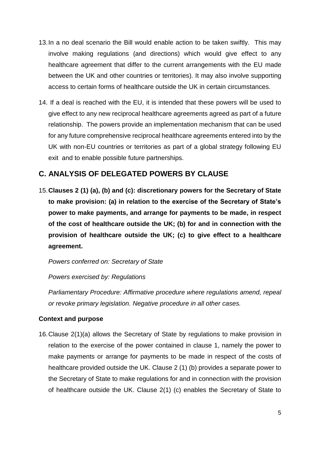- 13.In a no deal scenario the Bill would enable action to be taken swiftly. This may involve making regulations (and directions) which would give effect to any healthcare agreement that differ to the current arrangements with the EU made between the UK and other countries or territories). It may also involve supporting access to certain forms of healthcare outside the UK in certain circumstances.
- 14. If a deal is reached with the EU, it is intended that these powers will be used to give effect to any new reciprocal healthcare agreements agreed as part of a future relationship. The powers provide an implementation mechanism that can be used for any future comprehensive reciprocal healthcare agreements entered into by the UK with non-EU countries or territories as part of a global strategy following EU exit and to enable possible future partnerships.

## **C. ANALYSIS OF DELEGATED POWERS BY CLAUSE**

15.**Clauses 2 (1) (a), (b) and (c): discretionary powers for the Secretary of State to make provision: (a) in relation to the exercise of the Secretary of State's power to make payments, and arrange for payments to be made, in respect of the cost of healthcare outside the UK; (b) for and in connection with the provision of healthcare outside the UK; (c) to give effect to a healthcare agreement.**

*Powers conferred on: Secretary of State*

*Powers exercised by: Regulations*

*Parliamentary Procedure: Affirmative procedure where regulations amend, repeal or revoke primary legislation. Negative procedure in all other cases.*

## **Context and purpose**

16.Clause 2(1)(a) allows the Secretary of State by regulations to make provision in relation to the exercise of the power contained in clause 1, namely the power to make payments or arrange for payments to be made in respect of the costs of healthcare provided outside the UK. Clause 2 (1) (b) provides a separate power to the Secretary of State to make regulations for and in connection with the provision of healthcare outside the UK. Clause 2(1) (c) enables the Secretary of State to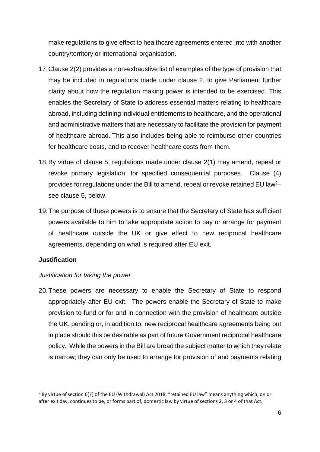make regulations to give effect to healthcare agreements entered into with another country/territory or international organisation.

- 17.Clause 2(2) provides a non-exhaustive list of examples of the type of provision that may be included in regulations made under clause 2, to give Parliament further clarity about how the regulation making power is intended to be exercised. This enables the Secretary of State to address essential matters relating to healthcare abroad, including defining individual entitlements to healthcare, and the operational and administrative matters that are necessary to facilitate the provision for payment of healthcare abroad. This also includes being able to reimburse other countries for healthcare costs, and to recover healthcare costs from them.
- 18.By virtue of clause 5, regulations made under clause 2(1) may amend, repeal or revoke primary legislation, for specified consequential purposes. Clause (4) provides for regulations under the Bill to amend, repeal or revoke retained EU law<sup>2</sup>– see clause 5, below.
- 19.The purpose of these powers is to ensure that the Secretary of State has sufficient powers available to him to take appropriate action to pay or arrange for payment of healthcare outside the UK or give effect to new reciprocal healthcare agreements, depending on what is required after EU exit.

#### **Justification**

**.** 

#### *Justification for taking the power*

20.These powers are necessary to enable the Secretary of State to respond appropriately after EU exit. The powers enable the Secretary of State to make provision to fund or for and in connection with the provision of healthcare outside the UK, pending or, in addition to, new reciprocal healthcare agreements being put in place should this be desirable as part of future Government reciprocal healthcare policy. While the powers in the Bill are broad the subject matter to which they relate is narrow; they can only be used to arrange for provision of and payments relating

<sup>&</sup>lt;sup>2</sup> By virtue of section 6(7) of the EU (Withdrawal) Act 2018, "retained EU law" means anything which, on or after exit day, continues to be, or forms part of, domestic law by virtue of sections 2, 3 or 4 of that Act.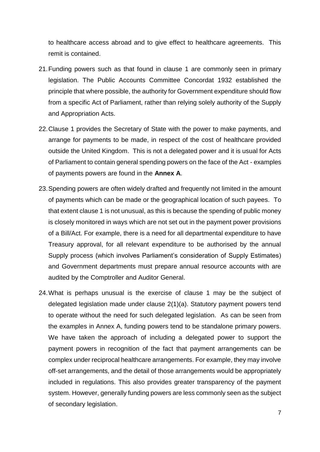to healthcare access abroad and to give effect to healthcare agreements. This remit is contained.

- 21.Funding powers such as that found in clause 1 are commonly seen in primary legislation. The Public Accounts Committee Concordat 1932 established the principle that where possible, the authority for Government expenditure should flow from a specific Act of Parliament, rather than relying solely authority of the Supply and Appropriation Acts.
- 22.Clause 1 provides the Secretary of State with the power to make payments, and arrange for payments to be made, in respect of the cost of healthcare provided outside the United Kingdom. This is not a delegated power and it is usual for Acts of Parliament to contain general spending powers on the face of the Act - examples of payments powers are found in the **Annex A**.
- 23.Spending powers are often widely drafted and frequently not limited in the amount of payments which can be made or the geographical location of such payees. To that extent clause 1 is not unusual, as this is because the spending of public money is closely monitored in ways which are not set out in the payment power provisions of a Bill/Act. For example, there is a need for all departmental expenditure to have Treasury approval, for all relevant expenditure to be authorised by the annual Supply process (which involves Parliament's consideration of Supply Estimates) and Government departments must prepare annual resource accounts with are audited by the Comptroller and Auditor General.
- 24.What is perhaps unusual is the exercise of clause 1 may be the subject of delegated legislation made under clause 2(1)(a). Statutory payment powers tend to operate without the need for such delegated legislation. As can be seen from the examples in Annex A, funding powers tend to be standalone primary powers. We have taken the approach of including a delegated power to support the payment powers in recognition of the fact that payment arrangements can be complex under reciprocal healthcare arrangements. For example, they may involve off-set arrangements, and the detail of those arrangements would be appropriately included in regulations. This also provides greater transparency of the payment system. However, generally funding powers are less commonly seen as the subject of secondary legislation.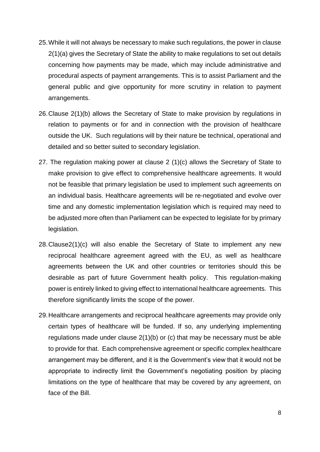- 25.While it will not always be necessary to make such regulations, the power in clause 2(1)(a) gives the Secretary of State the ability to make regulations to set out details concerning how payments may be made, which may include administrative and procedural aspects of payment arrangements. This is to assist Parliament and the general public and give opportunity for more scrutiny in relation to payment arrangements.
- 26.Clause 2(1)(b) allows the Secretary of State to make provision by regulations in relation to payments or for and in connection with the provision of healthcare outside the UK. Such regulations will by their nature be technical, operational and detailed and so better suited to secondary legislation.
- 27. The regulation making power at clause 2 (1)(c) allows the Secretary of State to make provision to give effect to comprehensive healthcare agreements. It would not be feasible that primary legislation be used to implement such agreements on an individual basis. Healthcare agreements will be re-negotiated and evolve over time and any domestic implementation legislation which is required may need to be adjusted more often than Parliament can be expected to legislate for by primary legislation.
- 28.Clause2(1)(c) will also enable the Secretary of State to implement any new reciprocal healthcare agreement agreed with the EU, as well as healthcare agreements between the UK and other countries or territories should this be desirable as part of future Government health policy. This regulation-making power is entirely linked to giving effect to international healthcare agreements. This therefore significantly limits the scope of the power.
- 29.Healthcare arrangements and reciprocal healthcare agreements may provide only certain types of healthcare will be funded. If so, any underlying implementing regulations made under clause 2(1)(b) or (c) that may be necessary must be able to provide for that. Each comprehensive agreement or specific complex healthcare arrangement may be different, and it is the Government's view that it would not be appropriate to indirectly limit the Government's negotiating position by placing limitations on the type of healthcare that may be covered by any agreement, on face of the Bill.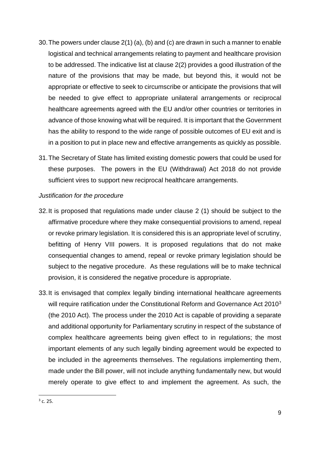- 30.The powers under clause 2(1) (a), (b) and (c) are drawn in such a manner to enable logistical and technical arrangements relating to payment and healthcare provision to be addressed. The indicative list at clause 2(2) provides a good illustration of the nature of the provisions that may be made, but beyond this, it would not be appropriate or effective to seek to circumscribe or anticipate the provisions that will be needed to give effect to appropriate unilateral arrangements or reciprocal healthcare agreements agreed with the EU and/or other countries or territories in advance of those knowing what will be required. It is important that the Government has the ability to respond to the wide range of possible outcomes of EU exit and is in a position to put in place new and effective arrangements as quickly as possible.
- 31.The Secretary of State has limited existing domestic powers that could be used for these purposes. The powers in the EU (Withdrawal) Act 2018 do not provide sufficient vires to support new reciprocal healthcare arrangements.

#### *Justification for the procedure*

- 32.It is proposed that regulations made under clause 2 (1) should be subject to the affirmative procedure where they make consequential provisions to amend, repeal or revoke primary legislation. It is considered this is an appropriate level of scrutiny, befitting of Henry VIII powers. It is proposed regulations that do not make consequential changes to amend, repeal or revoke primary legislation should be subject to the negative procedure. As these regulations will be to make technical provision, it is considered the negative procedure is appropriate.
- 33.It is envisaged that complex legally binding international healthcare agreements will require ratification under the Constitutional Reform and Governance Act 2010<sup>3</sup> (the 2010 Act). The process under the 2010 Act is capable of providing a separate and additional opportunity for Parliamentary scrutiny in respect of the substance of complex healthcare agreements being given effect to in regulations; the most important elements of any such legally binding agreement would be expected to be included in the agreements themselves. The regulations implementing them, made under the Bill power, will not include anything fundamentally new, but would merely operate to give effect to and implement the agreement. As such, the

 $\frac{1}{3}$  c. 25.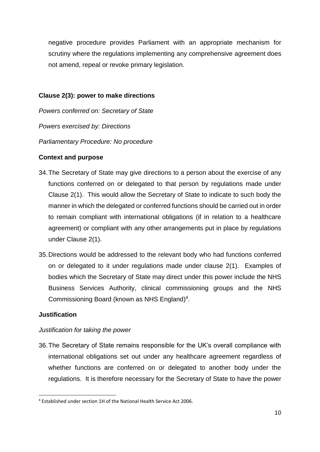negative procedure provides Parliament with an appropriate mechanism for scrutiny where the regulations implementing any comprehensive agreement does not amend, repeal or revoke primary legislation.

#### **Clause 2(3): power to make directions**

*Powers conferred on: Secretary of State Powers exercised by: Directions Parliamentary Procedure: No procedure* 

## **Context and purpose**

- 34.The Secretary of State may give directions to a person about the exercise of any functions conferred on or delegated to that person by regulations made under Clause 2(1). This would allow the Secretary of State to indicate to such body the manner in which the delegated or conferred functions should be carried out in order to remain compliant with international obligations (if in relation to a healthcare agreement) or compliant with any other arrangements put in place by regulations under Clause 2(1).
- 35.Directions would be addressed to the relevant body who had functions conferred on or delegated to it under regulations made under clause 2(1). Examples of bodies which the Secretary of State may direct under this power include the NHS Business Services Authority, clinical commissioning groups and the NHS Commissioning Board (known as NHS England) 4 .

## **Justification**

1

## *Justification for taking the power*

36.The Secretary of State remains responsible for the UK's overall compliance with international obligations set out under any healthcare agreement regardless of whether functions are conferred on or delegated to another body under the regulations. It is therefore necessary for the Secretary of State to have the power

<sup>4</sup> Established under section 1H of the National Health Service Act 2006.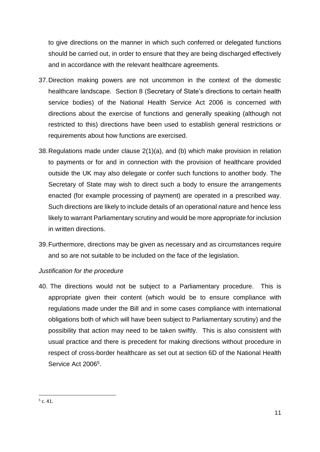to give directions on the manner in which such conferred or delegated functions should be carried out, in order to ensure that they are being discharged effectively and in accordance with the relevant healthcare agreements.

- 37.Direction making powers are not uncommon in the context of the domestic healthcare landscape. Section 8 (Secretary of State's directions to certain health service bodies) of the National Health Service Act 2006 is concerned with directions about the exercise of functions and generally speaking (although not restricted to this) directions have been used to establish general restrictions or requirements about how functions are exercised.
- 38.Regulations made under clause 2(1)(a), and (b) which make provision in relation to payments or for and in connection with the provision of healthcare provided outside the UK may also delegate or confer such functions to another body. The Secretary of State may wish to direct such a body to ensure the arrangements enacted (for example processing of payment) are operated in a prescribed way. Such directions are likely to include details of an operational nature and hence less likely to warrant Parliamentary scrutiny and would be more appropriate for inclusion in written directions.
- 39.Furthermore, directions may be given as necessary and as circumstances require and so are not suitable to be included on the face of the legislation.

## *Justification for the procedure*

40. The directions would not be subject to a Parliamentary procedure. This is appropriate given their content (which would be to ensure compliance with regulations made under the Bill and in some cases compliance with international obligations both of which will have been subject to Parliamentary scrutiny) and the possibility that action may need to be taken swiftly. This is also consistent with usual practice and there is precedent for making directions without procedure in respect of cross-border healthcare as set out at section 6D of the National Health Service Act 2006<sup>5</sup>.

1

 $5$  c. 41.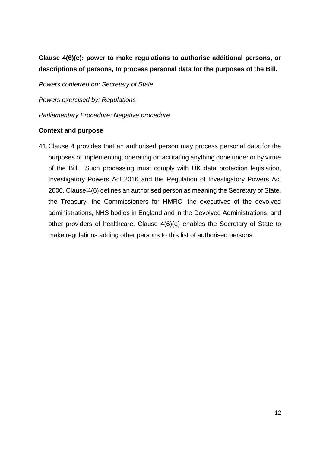**Clause 4(6)(e): power to make regulations to authorise additional persons, or descriptions of persons, to process personal data for the purposes of the Bill.**

*Powers conferred on: Secretary of State*

*Powers exercised by: Regulations* 

*Parliamentary Procedure: Negative procedure*

#### **Context and purpose**

41.Clause 4 provides that an authorised person may process personal data for the purposes of implementing, operating or facilitating anything done under or by virtue of the Bill. Such processing must comply with UK data protection legislation, Investigatory Powers Act 2016 and the Regulation of Investigatory Powers Act 2000. Clause 4(6) defines an authorised person as meaning the Secretary of State, the Treasury, the Commissioners for HMRC, the executives of the devolved administrations, NHS bodies in England and in the Devolved Administrations, and other providers of healthcare. Clause 4(6)(e) enables the Secretary of State to make regulations adding other persons to this list of authorised persons.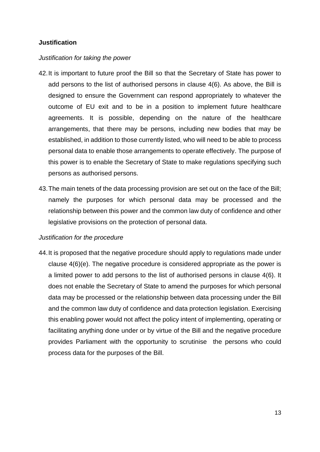#### **Justification**

#### *Justification for taking the power*

- 42.It is important to future proof the Bill so that the Secretary of State has power to add persons to the list of authorised persons in clause 4(6). As above, the Bill is designed to ensure the Government can respond appropriately to whatever the outcome of EU exit and to be in a position to implement future healthcare agreements. It is possible, depending on the nature of the healthcare arrangements, that there may be persons, including new bodies that may be established, in addition to those currently listed, who will need to be able to process personal data to enable those arrangements to operate effectively. The purpose of this power is to enable the Secretary of State to make regulations specifying such persons as authorised persons.
- 43.The main tenets of the data processing provision are set out on the face of the Bill; namely the purposes for which personal data may be processed and the relationship between this power and the common law duty of confidence and other legislative provisions on the protection of personal data.

#### *Justification for the procedure*

44.It is proposed that the negative procedure should apply to regulations made under clause 4(6)(e). The negative procedure is considered appropriate as the power is a limited power to add persons to the list of authorised persons in clause 4(6). It does not enable the Secretary of State to amend the purposes for which personal data may be processed or the relationship between data processing under the Bill and the common law duty of confidence and data protection legislation. Exercising this enabling power would not affect the policy intent of implementing, operating or facilitating anything done under or by virtue of the Bill and the negative procedure provides Parliament with the opportunity to scrutinise the persons who could process data for the purposes of the Bill.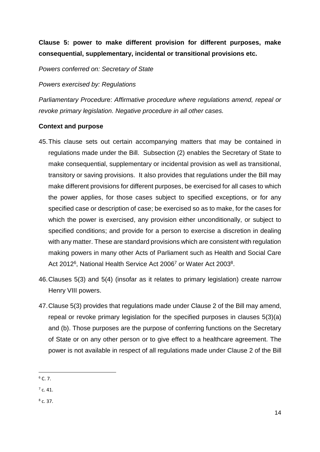## **Clause 5: power to make different provision for different purposes, make consequential, supplementary, incidental or transitional provisions etc.**

*Powers conferred on: Secretary of State*

*Powers exercised by: Regulations*

*Parliamentary Procedur*e: *Affirmative procedure where regulations amend, repeal or revoke primary legislation. Negative procedure in all other cases.*

## **Context and purpose**

- 45.This clause sets out certain accompanying matters that may be contained in regulations made under the Bill. Subsection (2) enables the Secretary of State to make consequential, supplementary or incidental provision as well as transitional, transitory or saving provisions. It also provides that regulations under the Bill may make different provisions for different purposes, be exercised for all cases to which the power applies, for those cases subject to specified exceptions, or for any specified case or description of case; be exercised so as to make, for the cases for which the power is exercised, any provision either unconditionally, or subject to specified conditions; and provide for a person to exercise a discretion in dealing with any matter. These are standard provisions which are consistent with regulation making powers in many other Acts of Parliament such as Health and Social Care Act 2012<sup>6</sup>, National Health Service Act 2006<sup>7</sup> or Water Act 2003<sup>8</sup>.
- 46.Clauses 5(3) and 5(4) (insofar as it relates to primary legislation) create narrow Henry VIII powers.
- 47.Clause 5(3) provides that regulations made under Clause 2 of the Bill may amend, repeal or revoke primary legislation for the specified purposes in clauses 5(3)(a) and (b). Those purposes are the purpose of conferring functions on the Secretary of State or on any other person or to give effect to a healthcare agreement. The power is not available in respect of all regulations made under Clause 2 of the Bill

 $7$  c. 41.

 $8$  c. 37.

<sup>1</sup>  $6$  C. 7.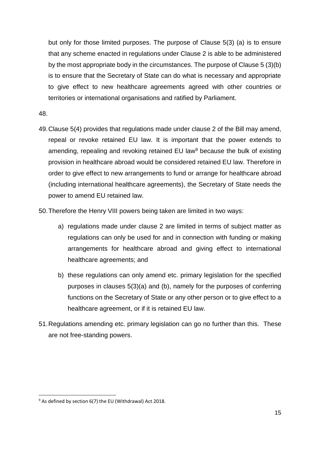but only for those limited purposes. The purpose of Clause 5(3) (a) is to ensure that any scheme enacted in regulations under Clause 2 is able to be administered by the most appropriate body in the circumstances. The purpose of Clause 5 (3)(b) is to ensure that the Secretary of State can do what is necessary and appropriate to give effect to new healthcare agreements agreed with other countries or territories or international organisations and ratified by Parliament.

48.

1

- 49.Clause 5(4) provides that regulations made under clause 2 of the Bill may amend, repeal or revoke retained EU law. It is important that the power extends to amending, repealing and revoking retained EU law<sup>9</sup> because the bulk of existing provision in healthcare abroad would be considered retained EU law. Therefore in order to give effect to new arrangements to fund or arrange for healthcare abroad (including international healthcare agreements), the Secretary of State needs the power to amend EU retained law.
- 50.Therefore the Henry VIII powers being taken are limited in two ways:
	- a) regulations made under clause 2 are limited in terms of subject matter as regulations can only be used for and in connection with funding or making arrangements for healthcare abroad and giving effect to international healthcare agreements; and
	- b) these regulations can only amend etc. primary legislation for the specified purposes in clauses 5(3)(a) and (b), namely for the purposes of conferring functions on the Secretary of State or any other person or to give effect to a healthcare agreement, or if it is retained EU law.
- 51.Regulations amending etc. primary legislation can go no further than this. These are not free-standing powers.

<sup>9</sup> As defined by section 6(7) the EU (Withdrawal) Act 2018.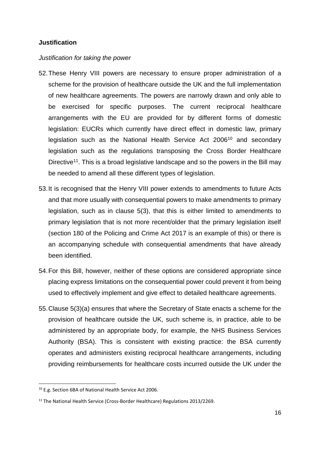#### **Justification**

#### *Justification for taking the power*

- 52.These Henry VIII powers are necessary to ensure proper administration of a scheme for the provision of healthcare outside the UK and the full implementation of new healthcare agreements. The powers are narrowly drawn and only able to be exercised for specific purposes. The current reciprocal healthcare arrangements with the EU are provided for by different forms of domestic legislation: EUCRs which currently have direct effect in domestic law, primary legislation such as the National Health Service Act 2006<sup>10</sup> and secondary legislation such as the regulations transposing the Cross Border Healthcare Directive<sup>11</sup>. This is a broad legislative landscape and so the powers in the Bill may be needed to amend all these different types of legislation.
- 53.It is recognised that the Henry VIII power extends to amendments to future Acts and that more usually with consequential powers to make amendments to primary legislation, such as in clause 5(3), that this is either limited to amendments to primary legislation that is not more recent/older that the primary legislation itself (section 180 of the Policing and Crime Act 2017 is an example of this) or there is an accompanying schedule with consequential amendments that have already been identified.
- 54.For this Bill, however, neither of these options are considered appropriate since placing express limitations on the consequential power could prevent it from being used to effectively implement and give effect to detailed healthcare agreements.
- 55.Clause 5(3)(a) ensures that where the Secretary of State enacts a scheme for the provision of healthcare outside the UK, such scheme is, in practice, able to be administered by an appropriate body, for example, the NHS Business Services Authority (BSA). This is consistent with existing practice: the BSA currently operates and administers existing reciprocal healthcare arrangements, including providing reimbursements for healthcare costs incurred outside the UK under the

 $\overline{a}$ 

<sup>10</sup> E.g. Section 6BA of National Health Service Act 2006.

<sup>&</sup>lt;sup>11</sup> The National Health Service (Cross-Border Healthcare) Regulations 2013/2269.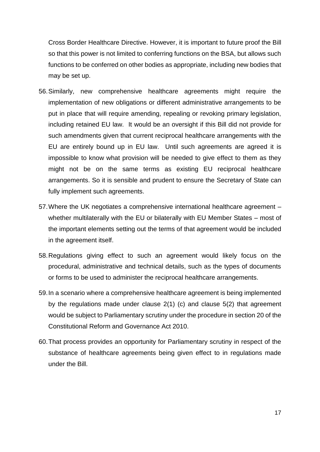Cross Border Healthcare Directive. However, it is important to future proof the Bill so that this power is not limited to conferring functions on the BSA, but allows such functions to be conferred on other bodies as appropriate, including new bodies that may be set up.

- 56.Similarly, new comprehensive healthcare agreements might require the implementation of new obligations or different administrative arrangements to be put in place that will require amending, repealing or revoking primary legislation, including retained EU law. It would be an oversight if this Bill did not provide for such amendments given that current reciprocal healthcare arrangements with the EU are entirely bound up in EU law. Until such agreements are agreed it is impossible to know what provision will be needed to give effect to them as they might not be on the same terms as existing EU reciprocal healthcare arrangements. So it is sensible and prudent to ensure the Secretary of State can fully implement such agreements.
- 57.Where the UK negotiates a comprehensive international healthcare agreement whether multilaterally with the EU or bilaterally with EU Member States – most of the important elements setting out the terms of that agreement would be included in the agreement itself.
- 58.Regulations giving effect to such an agreement would likely focus on the procedural, administrative and technical details, such as the types of documents or forms to be used to administer the reciprocal healthcare arrangements.
- 59.In a scenario where a comprehensive healthcare agreement is being implemented by the regulations made under clause 2(1) (c) and clause 5(2) that agreement would be subject to Parliamentary scrutiny under the procedure in section 20 of the Constitutional Reform and Governance Act 2010.
- 60.That process provides an opportunity for Parliamentary scrutiny in respect of the substance of healthcare agreements being given effect to in regulations made under the Bill.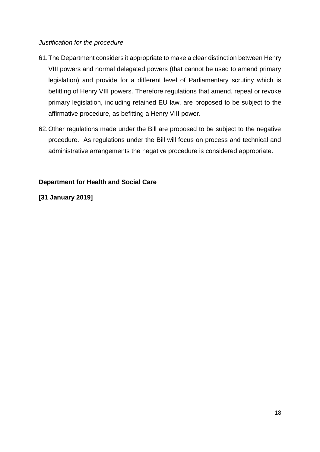#### *Justification for the procedure*

- 61.The Department considers it appropriate to make a clear distinction between Henry VIII powers and normal delegated powers (that cannot be used to amend primary legislation) and provide for a different level of Parliamentary scrutiny which is befitting of Henry VIII powers. Therefore regulations that amend, repeal or revoke primary legislation, including retained EU law, are proposed to be subject to the affirmative procedure, as befitting a Henry VIII power.
- 62.Other regulations made under the Bill are proposed to be subject to the negative procedure. As regulations under the Bill will focus on process and technical and administrative arrangements the negative procedure is considered appropriate.

## **Department for Health and Social Care**

## **[31 January 2019]**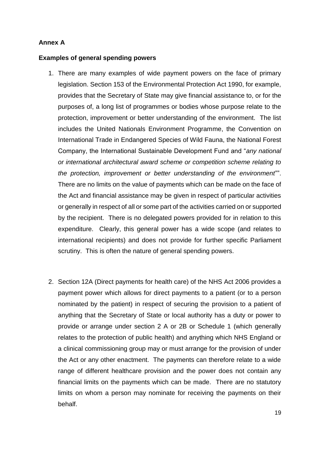## **Annex A**

#### **Examples of general spending powers**

- 1. There are many examples of wide payment powers on the face of primary legislation. Section 153 of the Environmental Protection Act 1990, for example, provides that the Secretary of State may give financial assistance to, or for the purposes of, a long list of programmes or bodies whose purpose relate to the protection, improvement or better understanding of the environment. The list includes the United Nationals Environment Programme, the Convention on International Trade in Endangered Species of Wild Fauna, the National Forest Company, the International Sustainable Development Fund and "*any national or international architectural award scheme or competition scheme relating to the protection, improvement or better understanding of the environment*"". There are no limits on the value of payments which can be made on the face of the Act and financial assistance may be given in respect of particular activities or generally in respect of all or some part of the activities carried on or supported by the recipient. There is no delegated powers provided for in relation to this expenditure. Clearly, this general power has a wide scope (and relates to international recipients) and does not provide for further specific Parliament scrutiny. This is often the nature of general spending powers.
- 2. Section 12A (Direct payments for health care) of the NHS Act 2006 provides a payment power which allows for direct payments to a patient (or to a person nominated by the patient) in respect of securing the provision to a patient of anything that the Secretary of State or local authority has a duty or power to provide or arrange under section 2 A or 2B or Schedule 1 (which generally relates to the protection of public health) and anything which NHS England or a clinical commissioning group may or must arrange for the provision of under the Act or any other enactment. The payments can therefore relate to a wide range of different healthcare provision and the power does not contain any financial limits on the payments which can be made. There are no statutory limits on whom a person may nominate for receiving the payments on their behalf.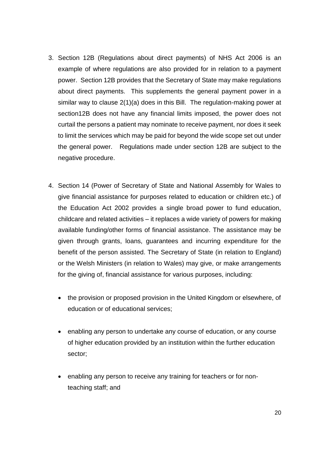- 3. Section 12B (Regulations about direct payments) of NHS Act 2006 is an example of where regulations are also provided for in relation to a payment power. Section 12B provides that the Secretary of State may make regulations about direct payments. This supplements the general payment power in a similar way to clause 2(1)(a) does in this Bill. The regulation-making power at section12B does not have any financial limits imposed, the power does not curtail the persons a patient may nominate to receive payment, nor does it seek to limit the services which may be paid for beyond the wide scope set out under the general power. Regulations made under section 12B are subject to the negative procedure.
- 4. Section 14 (Power of Secretary of State and National Assembly for Wales to give financial assistance for purposes related to education or children etc.) of the Education Act 2002 provides a single broad power to fund education, childcare and related activities – it replaces a wide variety of powers for making available funding/other forms of financial assistance. The assistance may be given through grants, loans, guarantees and incurring expenditure for the benefit of the person assisted. The Secretary of State (in relation to England) or the Welsh Ministers (in relation to Wales) may give, or make arrangements for the giving of, financial assistance for various purposes, including:
	- the provision or proposed provision in the United Kingdom or elsewhere, of education or of educational services;
	- enabling any person to undertake any course of education, or any course of higher education provided by an institution within the further education sector;
	- enabling any person to receive any training for teachers or for nonteaching staff; and